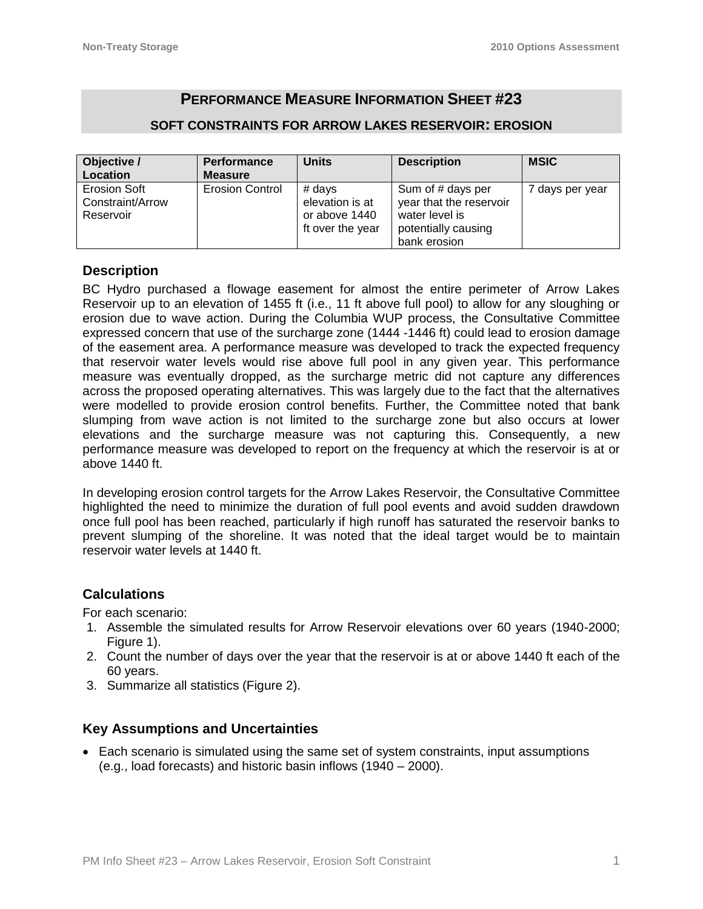# **PERFORMANCE MEASURE INFORMATION SHEET #23**

#### **SOFT CONSTRAINTS FOR ARROW LAKES RESERVOIR: EROSION**

| Objective /                                   | <b>Performance</b>     | <b>Units</b>                                                     | <b>Description</b>                                                                                    | <b>MSIC</b>     |
|-----------------------------------------------|------------------------|------------------------------------------------------------------|-------------------------------------------------------------------------------------------------------|-----------------|
| Location                                      | <b>Measure</b>         |                                                                  |                                                                                                       |                 |
| Erosion Soft<br>Constraint/Arrow<br>Reservoir | <b>Erosion Control</b> | $#$ days<br>elevation is at<br>or above 1440<br>ft over the year | Sum of # days per<br>year that the reservoir<br>water level is<br>potentially causing<br>bank erosion | 7 days per year |

## **Description**

BC Hydro purchased a flowage easement for almost the entire perimeter of Arrow Lakes Reservoir up to an elevation of 1455 ft (i.e., 11 ft above full pool) to allow for any sloughing or erosion due to wave action. During the Columbia WUP process, the Consultative Committee expressed concern that use of the surcharge zone (1444 -1446 ft) could lead to erosion damage of the easement area. A performance measure was developed to track the expected frequency that reservoir water levels would rise above full pool in any given year. This performance measure was eventually dropped, as the surcharge metric did not capture any differences across the proposed operating alternatives. This was largely due to the fact that the alternatives were modelled to provide erosion control benefits. Further, the Committee noted that bank slumping from wave action is not limited to the surcharge zone but also occurs at lower elevations and the surcharge measure was not capturing this. Consequently, a new performance measure was developed to report on the frequency at which the reservoir is at or above 1440 ft.

In developing erosion control targets for the Arrow Lakes Reservoir, the Consultative Committee highlighted the need to minimize the duration of full pool events and avoid sudden drawdown once full pool has been reached, particularly if high runoff has saturated the reservoir banks to prevent slumping of the shoreline. It was noted that the ideal target would be to maintain reservoir water levels at 1440 ft.

## **Calculations**

For each scenario:

- 1. Assemble the simulated results for Arrow Reservoir elevations over 60 years (1940-2000; Figure 1).
- 2. Count the number of days over the year that the reservoir is at or above 1440 ft each of the 60 years.
- 3. Summarize all statistics (Figure 2).

## **Key Assumptions and Uncertainties**

 Each scenario is simulated using the same set of system constraints, input assumptions (e.g., load forecasts) and historic basin inflows (1940 – 2000).